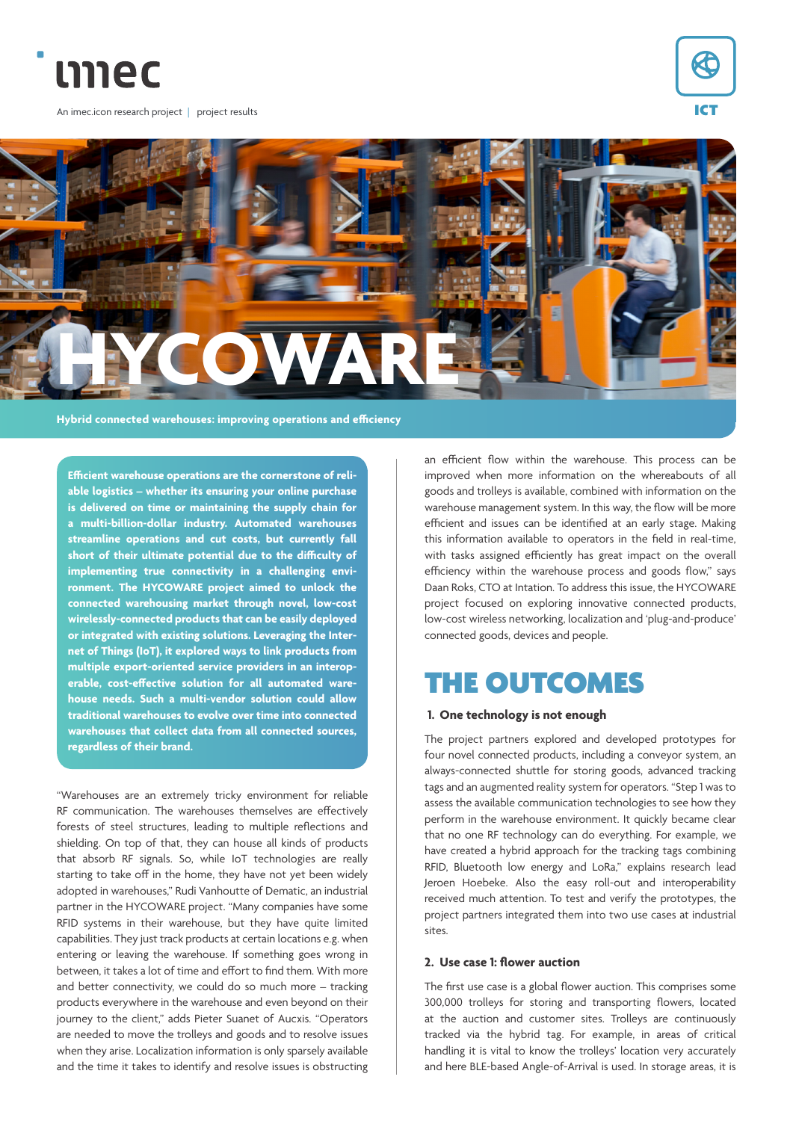

An imec.icon research project | project results





**Efficient warehouse operations are the cornerstone of reliable logistics – whether its ensuring your online purchase is delivered on time or maintaining the supply chain for a multi-billion-dollar industry. Automated warehouses streamline operations and cut costs, but currently fall short of their ultimate potential due to the difficulty of implementing true connectivity in a challenging environment. The HYCOWARE project aimed to unlock the connected warehousing market through novel, low-cost wirelessly-connected products that can be easily deployed or integrated with existing solutions. Leveraging the Internet of Things (IoT), it explored ways to link products from multiple export-oriented service providers in an interoperable, cost-effective solution for all automated warehouse needs. Such a multi-vendor solution could allow traditional warehouses to evolve over time into connected warehouses that collect data from all connected sources, regardless of their brand.**

"Warehouses are an extremely tricky environment for reliable RF communication. The warehouses themselves are effectively forests of steel structures, leading to multiple reflections and shielding. On top of that, they can house all kinds of products that absorb RF signals. So, while IoT technologies are really starting to take off in the home, they have not yet been widely adopted in warehouses," Rudi Vanhoutte of Dematic, an industrial partner in the HYCOWARE project. "Many companies have some RFID systems in their warehouse, but they have quite limited capabilities. They just track products at certain locations e.g. when entering or leaving the warehouse. If something goes wrong in between, it takes a lot of time and effort to find them. With more and better connectivity, we could do so much more – tracking products everywhere in the warehouse and even beyond on their journey to the client," adds Pieter Suanet of Aucxis. "Operators are needed to move the trolleys and goods and to resolve issues when they arise. Localization information is only sparsely available and the time it takes to identify and resolve issues is obstructing

an efficient flow within the warehouse. This process can be improved when more information on the whereabouts of all goods and trolleys is available, combined with information on the warehouse management system. In this way, the flow will be more efficient and issues can be identified at an early stage. Making this information available to operators in the field in real-time, with tasks assigned efficiently has great impact on the overall efficiency within the warehouse process and goods flow," says Daan Roks, CTO at Intation. To address this issue, the HYCOWARE project focused on exploring innovative connected products, low-cost wireless networking, localization and 'plug-and-produce' connected goods, devices and people.

# THE OUTCOMES

## **1. One technology is not enough**

The project partners explored and developed prototypes for four novel connected products, including a conveyor system, an always-connected shuttle for storing goods, advanced tracking tags and an augmented reality system for operators. "Step 1 was to assess the available communication technologies to see how they perform in the warehouse environment. It quickly became clear that no one RF technology can do everything. For example, we have created a hybrid approach for the tracking tags combining RFID, Bluetooth low energy and LoRa," explains research lead Jeroen Hoebeke. Also the easy roll-out and interoperability received much attention. To test and verify the prototypes, the project partners integrated them into two use cases at industrial sites.

## **2. Use case 1: flower auction**

The first use case is a global flower auction. This comprises some 300,000 trolleys for storing and transporting flowers, located at the auction and customer sites. Trolleys are continuously tracked via the hybrid tag. For example, in areas of critical handling it is vital to know the trolleys' location very accurately and here BLE-based Angle-of-Arrival is used. In storage areas, it is